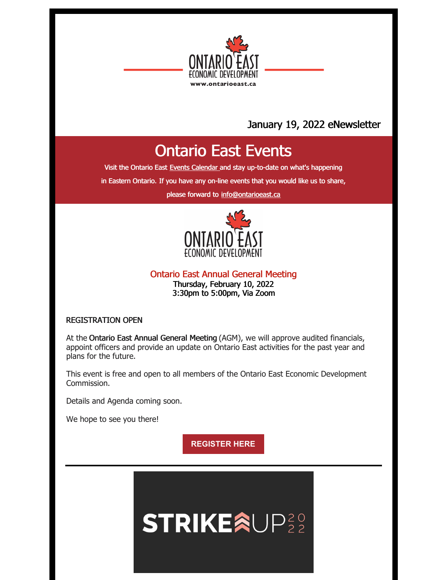

## January 19, 2022 eNewsletter

# Ontario East Events

Visit the Ontario East Events [Calendar](https://ontarioeast.ca/events) and stay up-to-date on what's happening

in Eastern Ontario. If you have any on-line events that you would like us to share,

please forward to [info@ontarioeast.ca](mailto:info@ontarioeast.ca)



Ontario East Annual General Meeting Thursday, February 10, 2022 3:30pm to 5:00pm, Via Zoom

#### REGISTRATION OPEN

At the Ontario East Annual General Meeting (AGM), we will approve audited financials, appoint officers and provide an update on Ontario East activities for the past year and plans for the future.

This event is free and open to all members of the Ontario East Economic Development Commission.

Details and Agenda coming soon.

We hope to see you there!

**[REGISTER](https://www.eventbrite.ca/e/ontario-east-economic-development-commission-annual-general-meeting-2022-registration-239420813097) HERE**

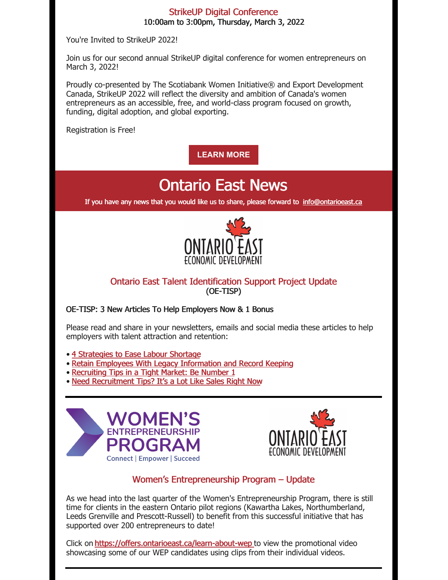#### StrikeUP Digital Conference 10:00am to 3:00pm, Thursday, March 3, 2022

You're Invited to StrikeUP 2022!

Join us for our second annual StrikeUP digital conference for women entrepreneurs on March 3, 2022!

Proudly co-presented by The Scotiabank Women Initiative® and Export Development Canada, StrikeUP 2022 will reflect the diversity and ambition of Canada's women entrepreneurs as an accessible, free, and world-class program focused on growth, funding, digital adoption, and global exporting.

Registration is Free!

**[LEARN](https://ontarioeast.ca/events/strikeup-digital-conference-2022) MORE**

# Ontario East News

If you have any news that you would like us to share, please forward to [info@ontarioeast.ca](mailto:info@ontarioeast.ca)



### Ontario East Talent Identification Support Project Update (OE-TISP)

#### OE-TISP: 3 New Articles To Help Employers Now & 1 Bonus

Please read and share in your newsletters, emails and social media these articles to help employers with talent attraction and retention:

• 4 [Strategies](https://t.sidekickopen01.com/s3t/c/5/f18dQhb0S7kv8c82szVf5rhG59hl3kW7_k2842PyJyGW7wzN4k2Qx-dHW2Swb-n2bzNMtf46JSFc01?te=W3R5hFj4cm2zwW3CbHnh1JDwy2W3zgDbB3K1M16W1JxvHB3K1M16W3K8QDQ43TDjyW49M8_h3K6Lsjn43Z9cH273&si=5457739056414720&pi=2a59f9ed-c183-4f03-b113-c3c87245b10b) to Ease Labour Shortage

- Retain Employees With Legacy [Information](https://t.sidekickopen01.com/s3t/c/5/f18dQhb0S7kv8c82szVf5rhG59hl3kW7_k2842PyJyGW7wzN4k2Qx-dHW2Swb-n2bzNMtf46JSFc01?te=W3R5hFj4cm2zwW3CbHnh1JDwy2W3zgDbB3K1M16W1JxvHB3R3cw7W4fLG3R3K9DsyW41n_Fy45Rkrc4W1v51&si=5457739056414720&pi=2a59f9ed-c183-4f03-b113-c3c87245b10b) and Record Keeping
- [Recruiting](https://t.sidekickopen01.com/s3t/c/5/f18dQhb0S7kv8c82szVf5rhG59hl3kW7_k2842PyJyGW7wzN4k2Qx-dHW2Swb-n2bzNMtf46JSFc01?te=W3R5hFj4cm2zwW3CbHnh1JDwy2W3zgDbB3K1M16W1JxvHB49Kv38W4hGQZG41S2fKW3T296_3T1d2SW1GJ1-33R59pGW3zgDmV4fdgphW1GFz9h3C7Nj11X3&si=5457739056414720&pi=2a59f9ed-c183-4f03-b113-c3c87245b10b) Tips in a Tight Market: Be Number 1
- Need [Recruitment](https://t.sidekickopen01.com/s3t/c/5/f18dQhb0S7kv8c82szVf5rhG59hl3kW7_k2842PyJyGW7wzN4k2Qx-dHW2Swb-n2bzNMtf46JSFc01?te=W3R5hFj4cm2zwW3CbHnh1JDwy2W3zgDbB3K1M16W1JxvHB41RjcFW1GHbGN49S89KW3_SNwq1GJ1-dW4cfLwz4cfKPkW3ZZpfG3ZWVFfW1GHCPC3K96qzW3S-pXv1GFyG10&si=5457739056414720&pi=2a59f9ed-c183-4f03-b113-c3c87245b10b) Tips? It's a Lot Like Sales Right Now





### Women's Entrepreneurship Program – Update

As we head into the last quarter of the Women's Entrepreneurship Program, there is still time for clients in the eastern Ontario pilot regions (Kawartha Lakes, Northumberland, Leeds Grenville and Prescott-Russell) to benefit from this successful initiative that has supported over 200 entrepreneurs to date!

Click on <https://offers.ontarioeast.ca/learn-about-wep> to view the promotional video showcasing some of our WEP candidates using clips from their individual videos.